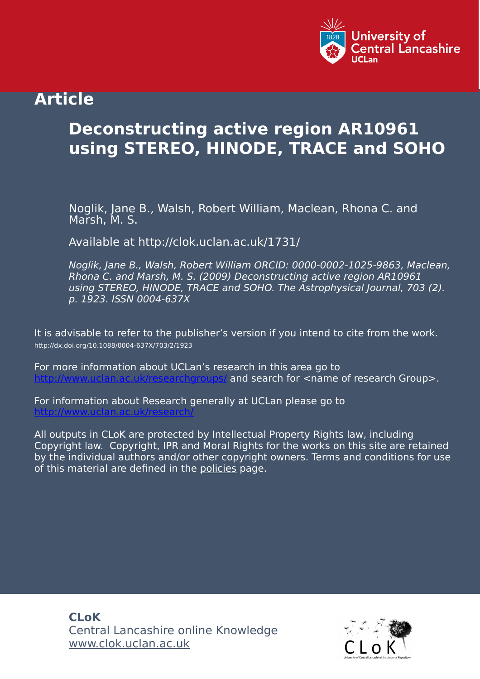

# **Article**

# **Deconstructing active region AR10961 using STEREO, HINODE, TRACE and SOHO**

Noglik, Jane B., Walsh, Robert William, Maclean, Rhona C. and Marsh, M. S.

Available at http://clok.uclan.ac.uk/1731/

Noglik, Jane B., Walsh, Robert William ORCID: 0000-0002-1025-9863, Maclean, Rhona C. and Marsh, M. S. (2009) Deconstructing active region AR10961 using STEREO, HINODE, TRACE and SOHO. The Astrophysical Journal, 703 (2). p. 1923. ISSN 0004-637X

It is advisable to refer to the publisher's version if you intend to cite from the work. http://dx.doi.org/10.1088/0004-637X/703/2/1923

For more information about UCLan's research in this area go to and search for <name of research Group>.

For information about Research generally at UCLan please go to <http://www.uclan.ac.uk/research/>

All outputs in CLoK are protected by Intellectual Property Rights law, including Copyright law. Copyright, IPR and Moral Rights for the works on this site are retained by the individual authors and/or other copyright owners. Terms and conditions for use of this material are defined in the [policies](https://clok.uclan.ac.uk/policies.html) page.

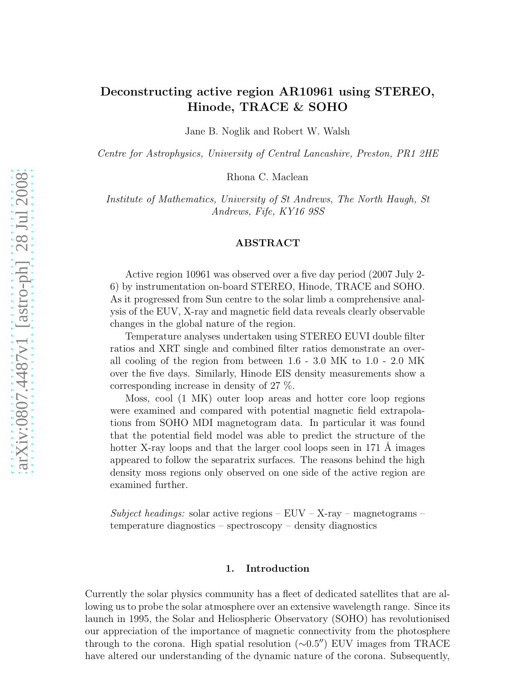# Deconstructing active region AR10961 using STEREO, Hinode, TRACE & SOHO

Jane B. Noglik and Robert W. Walsh

*Centre for Astrophysics, University of Central Lancashire, Preston, PR1 2HE*

Rhona C. Maclean

*Institute of Mathematics, University of St Andrews, The North Haugh, St Andrews, Fife, KY16 9SS*

#### ABSTRACT

Active region 10961 was observed over a five day period (2007 July 2- 6) by instrumentation on-board STEREO, Hinode, TRACE and SOHO. As it progressed from Sun centre to the solar limb a comprehensive analysis of the EUV, X-ray and magnetic field data reveals clearly observable changes in the global nature of the region.

Temperature analyses undertaken using STEREO EUVI double filter ratios and XRT single and combined filter ratios demonstrate an overall cooling of the region from between 1.6 - 3.0 MK to 1.0 - 2.0 MK over the five days. Similarly, Hinode EIS density measurements show a corresponding increase in density of 27 %.

Moss, cool (1 MK) outer loop areas and hotter core loop regions were examined and compared with potential magnetic field extrapolations from SOHO MDI magnetogram data. In particular it was found that the potential field model was able to predict the structure of the hotter X-ray loops and that the larger cool loops seen in 171 A images appeared to follow the separatrix surfaces. The reasons behind the high density moss regions only observed on one side of the active region are examined further.

*Subject headings:* solar active regions – EUV – X-ray – magnetograms – temperature diagnostics – spectroscopy – density diagnostics

# 1. Introduction

Currently the solar physics community has a fleet of dedicated satellites that are allowing us to probe the solar atmosphere over an extensive wavelength range. Since its launch in 1995, the Solar and Heliospheric Observatory (SOHO) has revolutionised our appreciation of the importance of magnetic connectivity from the photosphere through to the corona. High spatial resolution (∼0.5′′) EUV images from TRACE have altered our understanding of the dynamic nature of the corona. Subsequently,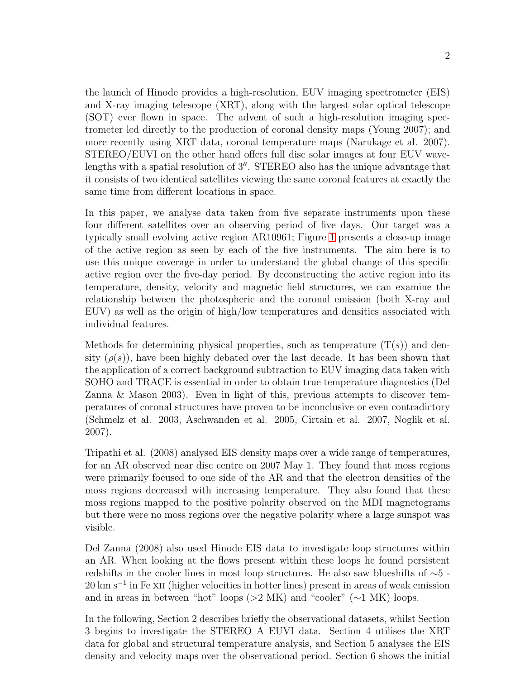the launch of Hinode provides a high-resolution, EUV imaging spectrometer (EIS) and X-ray imaging telescope (XRT), along with the largest solar optical telescope (SOT) ever flown in space. The advent of such a high-resolution imaging spectrometer led directly to the production of coronal density maps (Young 2007); and more recently using XRT data, coronal temperature maps (Narukage et al. 2007). STEREO/EUVI on the other hand offers full disc solar images at four EUV wavelengths with a spatial resolution of 3′′. STEREO also has the unique advantage that it consists of two identical satellites viewing the same coronal features at exactly the same time from different locations in space.

In this paper, we analyse data taken from five separate instruments upon these four different satellites over an observing period of five days. Our target was a typically small evolving active region AR10961; Figure [1](#page-29-0) presents a close-up image of the active region as seen by each of the five instruments. The aim here is to use this unique coverage in order to understand the global change of this specific active region over the five-day period. By deconstructing the active region into its temperature, density, velocity and magnetic field structures, we can examine the relationship between the photospheric and the coronal emission (both X-ray and EUV) as well as the origin of high/low temperatures and densities associated with individual features.

Methods for determining physical properties, such as temperature  $(T(s))$  and density  $(\rho(s))$ , have been highly debated over the last decade. It has been shown that the application of a correct background subtraction to EUV imaging data taken with SOHO and TRACE is essential in order to obtain true temperature diagnostics (Del Zanna & Mason 2003). Even in light of this, previous attempts to discover temperatures of coronal structures have proven to be inconclusive or even contradictory (Schmelz et al. 2003, Aschwanden et al. 2005, Cirtain et al. 2007, Noglik et al. 2007).

Tripathi et al. (2008) analysed EIS density maps over a wide range of temperatures, for an AR observed near disc centre on 2007 May 1. They found that moss regions were primarily focused to one side of the AR and that the electron densities of the moss regions decreased with increasing temperature. They also found that these moss regions mapped to the positive polarity observed on the MDI magnetograms but there were no moss regions over the negative polarity where a large sunspot was visible.

Del Zanna (2008) also used Hinode EIS data to investigate loop structures within an AR. When looking at the flows present within these loops he found persistent redshifts in the cooler lines in most loop structures. He also saw blueshifts of ∼5 - 20 km s<sup>-1</sup> in Fe x<sub>II</sub> (higher velocities in hotter lines) present in areas of weak emission and in areas in between "hot" loops (>2 MK) and "cooler" ( $\sim$ 1 MK) loops.

In the following, Section 2 describes briefly the observational datasets, whilst Section 3 begins to investigate the STEREO A EUVI data. Section 4 utilises the XRT data for global and structural temperature analysis, and Section 5 analyses the EIS density and velocity maps over the observational period. Section 6 shows the initial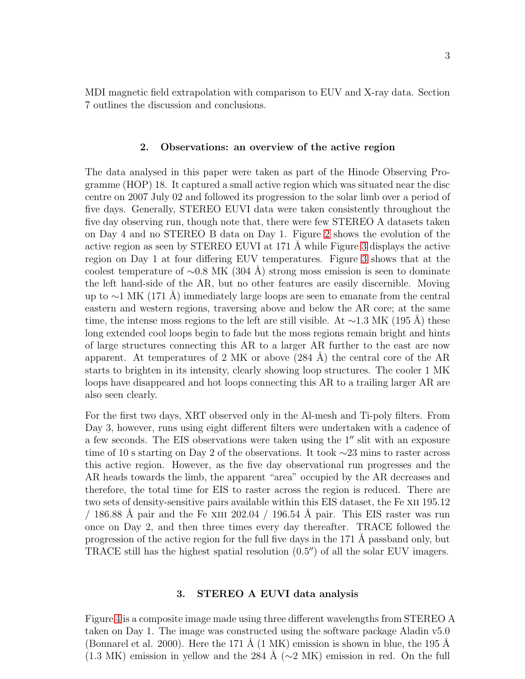MDI magnetic field extrapolation with comparison to EUV and X-ray data. Section 7 outlines the discussion and conclusions.

#### 2. Observations: an overview of the active region

The data analysed in this paper were taken as part of the Hinode Observing Programme (HOP) 18. It captured a small active region which was situated near the disc centre on 2007 July 02 and followed its progression to the solar limb over a period of five days. Generally, STEREO EUVI data were taken consistently throughout the five day observing run, though note that, there were few STEREO A datasets taken on Day 4 and no STEREO B data on Day 1. Figure [2](#page-29-0) shows the evolution of the active region as seen by STEREO EUVI at 171  $\AA$  while Figure [3](#page-29-0) displays the active region on Day 1 at four differing EUV temperatures. Figure [3](#page-29-0) shows that at the coolest temperature of  $\sim$ 0.8 MK (304 Å) strong moss emission is seen to dominate the left hand-side of the AR, but no other features are easily discernible. Moving up to  $\sim$ 1 MK (171 Å) immediately large loops are seen to emanate from the central eastern and western regions, traversing above and below the AR core; at the same time, the intense moss regions to the left are still visible. At  $\sim$ 1.3 MK (195 Å) these long extended cool loops begin to fade but the moss regions remain bright and hints of large structures connecting this AR to a larger AR further to the east are now apparent. At temperatures of 2 MK or above  $(284 \text{ Å})$  the central core of the AR starts to brighten in its intensity, clearly showing loop structures. The cooler 1 MK loops have disappeared and hot loops connecting this AR to a trailing larger AR are also seen clearly.

For the first two days, XRT observed only in the Al-mesh and Ti-poly filters. From Day 3, however, runs using eight different filters were undertaken with a cadence of a few seconds. The EIS observations were taken using the 1′′ slit with an exposure time of 10 s starting on Day 2 of the observations. It took ∼23 mins to raster across this active region. However, as the five day observational run progresses and the AR heads towards the limb, the apparent "area" occupied by the AR decreases and therefore, the total time for EIS to raster across the region is reduced. There are two sets of density-sensitive pairs available within this EIS dataset, the Fe xii 195.12 / 186.88 Å pair and the Fe XIII 202.04 / 196.54 Å pair. This EIS raster was run once on Day 2, and then three times every day thereafter. TRACE followed the progression of the active region for the full five days in the 171 Å passband only, but TRACE still has the highest spatial resolution  $(0.5'')$  of all the solar EUV imagers.

# 3. STEREO A EUVI data analysis

Figure [4](#page-29-0) is a composite image made using three different wavelengths from STEREO A taken on Day 1. The image was constructed using the software package Aladin v5.0 (Bonnarel et al. 2000). Here the 171 Å  $(1 \text{ MK})$  emission is shown in blue, the 195 Å (1.3 MK) emission in yellow and the 284 Å ( $\sim$ 2 MK) emission in red. On the full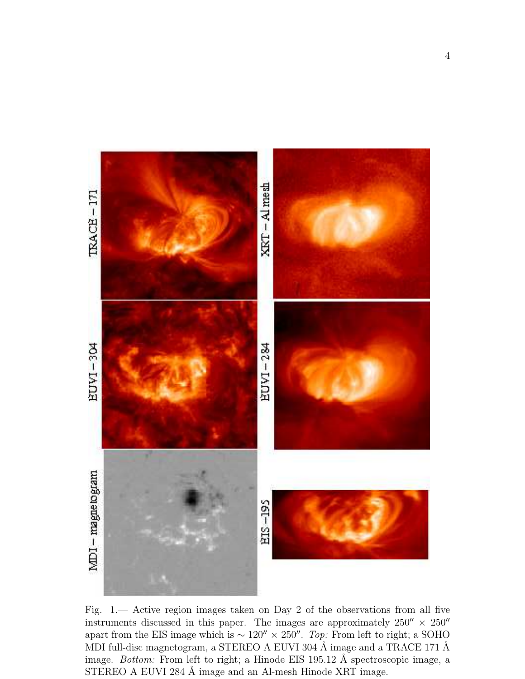

Fig. 1.— Active region images taken on Day 2 of the observations from all five instruments discussed in this paper. The images are approximately  $250'' \times 250''$ apart from the EIS image which is ∼ 120′′ × 250′′ . *Top:* From left to right; a SOHO MDI full-disc magnetogram, a STEREO A EUVI 304 Å image and a TRACE 171 Å image. *Bottom:* From left to right; a Hinode EIS 195.12 Å spectroscopic image, a STEREO A EUVI 284 Å image and an Al-mesh Hinode XRT image.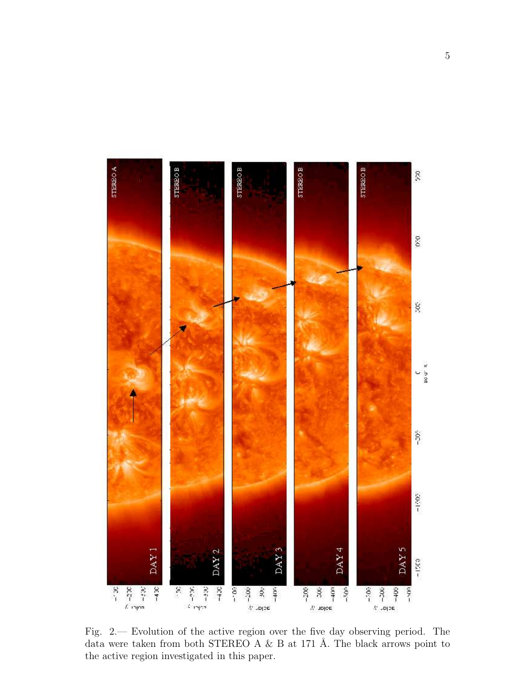

Fig. 2.— Evolution of the active region over the five day observing period. The data were taken from both STEREO A  $\&$  B at 171 Å. The black arrows point to the active region investigated in this paper.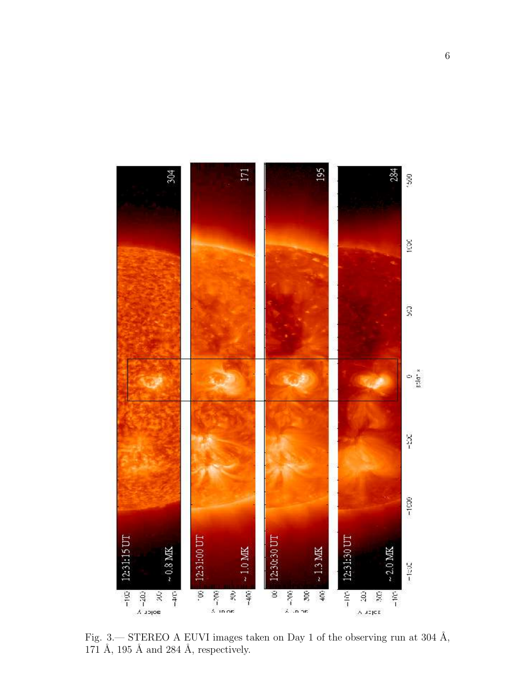

Fig. 3.— STEREO A EUVI images taken on Day 1 of the observing run at 304  $\AA$ , 171 Å, 195 Å and 284 Å, respectively.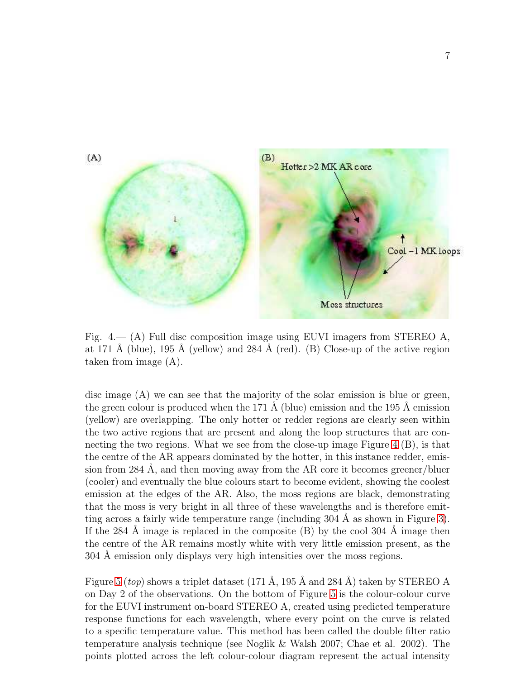

Fig.  $4 - (A)$  Full disc composition image using EUVI imagers from STEREO A, at 171 Å (blue), 195 Å (yellow) and 284 Å (red). (B) Close-up of the active region taken from image (A).

disc image (A) we can see that the majority of the solar emission is blue or green, the green colour is produced when the 171 Å (blue) emission and the 195 Å emission (yellow) are overlapping. The only hotter or redder regions are clearly seen within the two active regions that are present and along the loop structures that are connecting the two regions. What we see from the close-up image Figure [4](#page-29-0) (B), is that the centre of the AR appears dominated by the hotter, in this instance redder, emission from 284 Å, and then moving away from the  $AR$  core it becomes greener/bluer (cooler) and eventually the blue colours start to become evident, showing the coolest emission at the edges of the AR. Also, the moss regions are black, demonstrating that the moss is very bright in all three of these wavelengths and is therefore emitting across a fairly wide temperature range (including  $304 \text{ Å}$  as shown in Figure [3\)](#page-29-0). If the 284 Å image is replaced in the composite  $(B)$  by the cool 304 Å image then the centre of the AR remains mostly white with very little emission present, as the 304 Å emission only displays very high intensities over the moss regions.

Figure [5](#page-29-0) (*top*) shows a triplet dataset  $(171 \text{ Å}, 195 \text{ Å} \text{ and } 284 \text{ Å})$  taken by STEREO A on Day 2 of the observations. On the bottom of Figure [5](#page-29-0) is the colour-colour curve for the EUVI instrument on-board STEREO A, created using predicted temperature response functions for each wavelength, where every point on the curve is related to a specific temperature value. This method has been called the double filter ratio temperature analysis technique (see Noglik & Walsh 2007; Chae et al. 2002). The points plotted across the left colour-colour diagram represent the actual intensity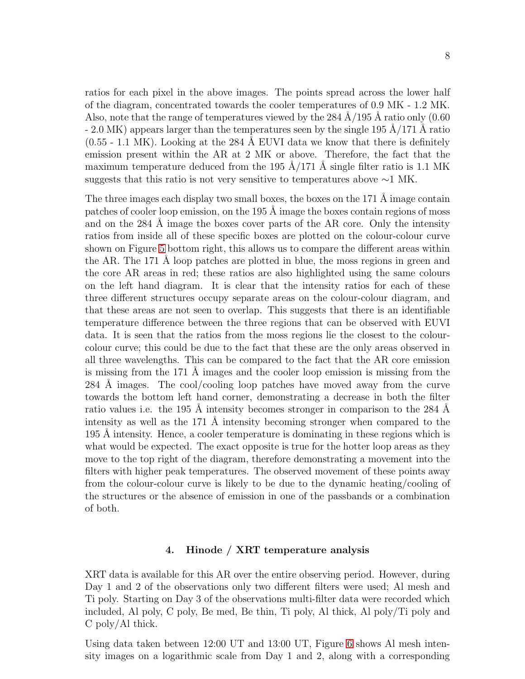ratios for each pixel in the above images. The points spread across the lower half of the diagram, concentrated towards the cooler temperatures of 0.9 MK - 1.2 MK. Also, note that the range of temperatures viewed by the 284  $\AA/195$  Å ratio only (0.60)  $-2.0$  MK) appears larger than the temperatures seen by the single 195  $A/171$  Å ratio  $(0.55 - 1.1 \text{ MK})$ . Looking at the 284 Å EUVI data we know that there is definitely emission present within the AR at 2 MK or above. Therefore, the fact that the maximum temperature deduced from the 195  $\AA/171$  Å single filter ratio is 1.1 MK suggests that this ratio is not very sensitive to temperatures above  $\sim$ 1 MK.

The three images each display two small boxes, the boxes on the  $171 \text{ Å}$  image contain patches of cooler loop emission, on the 195 Å image the boxes contain regions of moss and on the  $284 \text{ Å}$  image the boxes cover parts of the AR core. Only the intensity ratios from inside all of these specific boxes are plotted on the colour-colour curve shown on Figure [5](#page-29-0) bottom right, this allows us to compare the different areas within the AR. The 171 Å loop patches are plotted in blue, the moss regions in green and the core AR areas in red; these ratios are also highlighted using the same colours on the left hand diagram. It is clear that the intensity ratios for each of these three different structures occupy separate areas on the colour-colour diagram, and that these areas are not seen to overlap. This suggests that there is an identifiable temperature difference between the three regions that can be observed with EUVI data. It is seen that the ratios from the moss regions lie the closest to the colourcolour curve; this could be due to the fact that these are the only areas observed in all three wavelengths. This can be compared to the fact that the AR core emission is missing from the  $171 \text{ Å}$  images and the cooler loop emission is missing from the  $284$  Å images. The cool/cooling loop patches have moved away from the curve towards the bottom left hand corner, demonstrating a decrease in both the filter ratio values i.e. the 195 Å intensity becomes stronger in comparison to the 284 Å intensity as well as the  $171 \text{ Å}$  intensity becoming stronger when compared to the  $195 \text{ Å}$  intensity. Hence, a cooler temperature is dominating in these regions which is what would be expected. The exact opposite is true for the hotter loop areas as they move to the top right of the diagram, therefore demonstrating a movement into the filters with higher peak temperatures. The observed movement of these points away from the colour-colour curve is likely to be due to the dynamic heating/cooling of the structures or the absence of emission in one of the passbands or a combination of both.

#### 4. Hinode / XRT temperature analysis

XRT data is available for this AR over the entire observing period. However, during Day 1 and 2 of the observations only two different filters were used; Al mesh and Ti poly. Starting on Day 3 of the observations multi-filter data were recorded which included, Al poly, C poly, Be med, Be thin, Ti poly, Al thick, Al poly/Ti poly and C poly/Al thick.

Using data taken between 12:00 UT and 13:00 UT, Figure [6](#page-29-0) shows Al mesh intensity images on a logarithmic scale from Day 1 and 2, along with a corresponding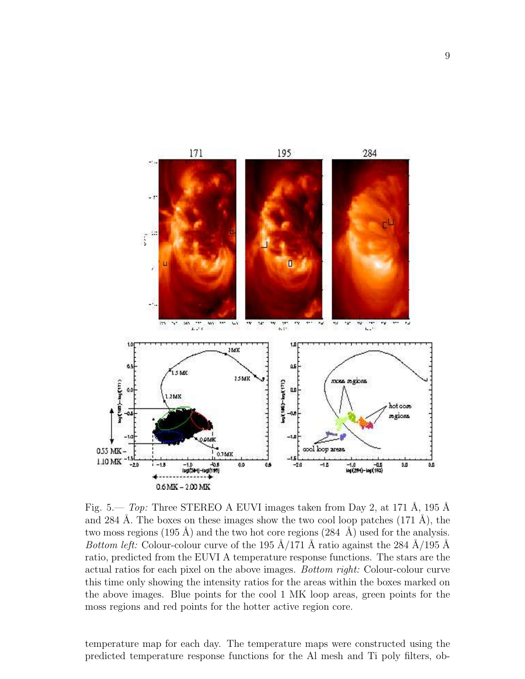

Fig.  $5$ — *Top:* Three STEREO A EUVI images taken from Day 2, at 171 Å, 195 Å and 284 Å. The boxes on these images show the two cool loop patches  $(171 \text{ Å})$ , the two moss regions (195 Å) and the two hot core regions (284  $\AA$ ) used for the analysis. *Bottom left:* Colour-colour curve of the 195  $\AA/171$  Å ratio against the 284  $\AA/195$  Å ratio, predicted from the EUVI A temperature response functions. The stars are the actual ratios for each pixel on the above images. *Bottom right:* Colour-colour curve this time only showing the intensity ratios for the areas within the boxes marked on the above images. Blue points for the cool 1 MK loop areas, green points for the moss regions and red points for the hotter active region core.

temperature map for each day. The temperature maps were constructed using the predicted temperature response functions for the Al mesh and Ti poly filters, ob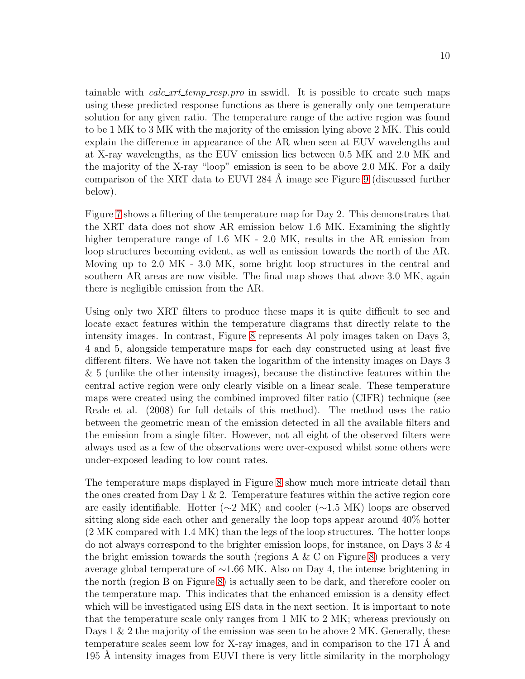tainable with *calc xrt temp resp.pro* in sswidl. It is possible to create such maps using these predicted response functions as there is generally only one temperature solution for any given ratio. The temperature range of the active region was found to be 1 MK to 3 MK with the majority of the emission lying above 2 MK. This could explain the difference in appearance of the AR when seen at EUV wavelengths and at X-ray wavelengths, as the EUV emission lies between 0.5 MK and 2.0 MK and the majority of the X-ray "loop" emission is seen to be above 2.0 MK. For a daily comparison of the XRT data to EUVI 284 Å image see Figure [9](#page-29-0) (discussed further below).

Figure [7](#page-29-0) shows a filtering of the temperature map for Day 2. This demonstrates that the XRT data does not show AR emission below 1.6 MK. Examining the slightly higher temperature range of 1.6 MK - 2.0 MK, results in the AR emission from loop structures becoming evident, as well as emission towards the north of the AR. Moving up to 2.0 MK - 3.0 MK, some bright loop structures in the central and southern AR areas are now visible. The final map shows that above 3.0 MK, again there is negligible emission from the AR.

Using only two XRT filters to produce these maps it is quite difficult to see and locate exact features within the temperature diagrams that directly relate to the intensity images. In contrast, Figure [8](#page-29-0) represents Al poly images taken on Days 3, 4 and 5, alongside temperature maps for each day constructed using at least five different filters. We have not taken the logarithm of the intensity images on Days 3 & 5 (unlike the other intensity images), because the distinctive features within the central active region were only clearly visible on a linear scale. These temperature maps were created using the combined improved filter ratio (CIFR) technique (see Reale et al. (2008) for full details of this method). The method uses the ratio between the geometric mean of the emission detected in all the available filters and the emission from a single filter. However, not all eight of the observed filters were always used as a few of the observations were over-exposed whilst some others were under-exposed leading to low count rates.

The temperature maps displayed in Figure [8](#page-29-0) show much more intricate detail than the ones created from Day 1  $\&$  2. Temperature features within the active region core are easily identifiable. Hotter (∼2 MK) and cooler (∼1.5 MK) loops are observed sitting along side each other and generally the loop tops appear around 40% hotter (2 MK compared with 1.4 MK) than the legs of the loop structures. The hotter loops do not always correspond to the brighter emission loops, for instance, on Days 3 & 4 the bright emission towards the south (regions  $A \& C$  on Figure [8\)](#page-29-0) produces a very average global temperature of ∼1.66 MK. Also on Day 4, the intense brightening in the north (region B on Figure [8\)](#page-29-0) is actually seen to be dark, and therefore cooler on the temperature map. This indicates that the enhanced emission is a density effect which will be investigated using EIS data in the next section. It is important to note that the temperature scale only ranges from 1 MK to 2 MK; whereas previously on Days  $1 \& 2$  the majority of the emission was seen to be above  $2$  MK. Generally, these temperature scales seem low for X-ray images, and in comparison to the  $171 \text{ Å}$  and 195 Å intensity images from EUVI there is very little similarity in the morphology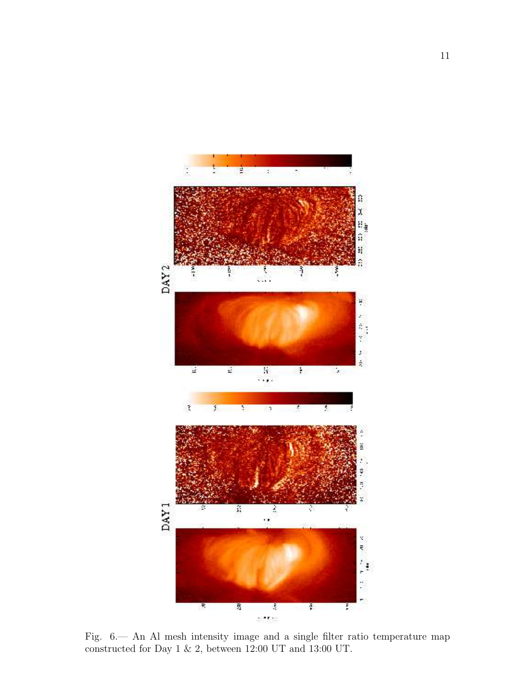

Fig. 6.— An Al mesh intensity image and a single filter ratio temperature map constructed for Day 1  $\&$  2, between 12:00 UT and 13:00 UT.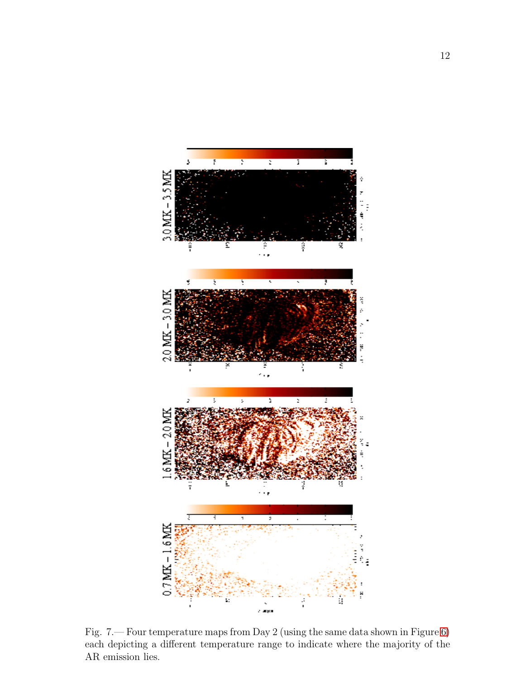

Fig. 7.— Four temperature maps from Day 2 (using the same data shown in Figure [6\)](#page-29-0) each depicting a different temperature range to indicate where the majority of the AR emission lies.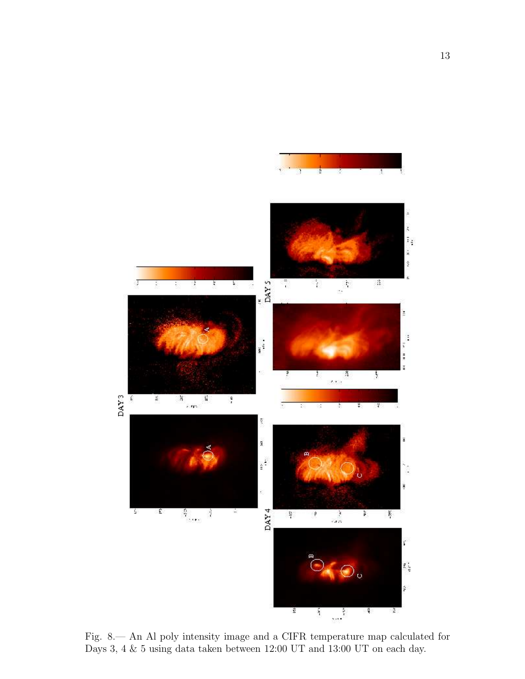

Fig. 8.— An Al poly intensity image and a CIFR temperature map calculated for Days 3, 4 & 5 using data taken between 12:00 UT and 13:00 UT on each day.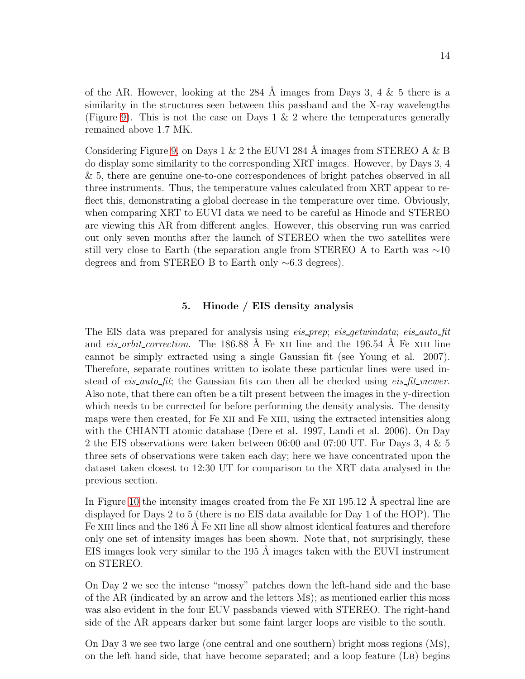of the AR. However, looking at the 284 Å images from Days 3, 4  $\&$  5 there is a similarity in the structures seen between this passband and the X-ray wavelengths (Figure [9\)](#page-29-0). This is not the case on Days  $1 \& 2$  where the temperatures generally remained above 1.7 MK.

Considering Figure [9,](#page-29-0) on Days 1 & 2 the EUVI 284 Å images from STEREO A & B do display some similarity to the corresponding XRT images. However, by Days 3, 4 & 5, there are genuine one-to-one correspondences of bright patches observed in all three instruments. Thus, the temperature values calculated from XRT appear to reflect this, demonstrating a global decrease in the temperature over time. Obviously, when comparing XRT to EUVI data we need to be careful as Hinode and STEREO are viewing this AR from different angles. However, this observing run was carried out only seven months after the launch of STEREO when the two satellites were still very close to Earth (the separation angle from STEREO A to Earth was ∼10 degrees and from STEREO B to Earth only ∼6.3 degrees).

# 5. Hinode / EIS density analysis

The EIS data was prepared for analysis using *eis prep*; *eis getwindata*; *eis auto fit* and *eis\_orbit\_correction*. The 186.88 Å Fe x<sub>II</sub> line and the 196.54 Å Fe x<sub>III</sub> line cannot be simply extracted using a single Gaussian fit (see Young et al. 2007). Therefore, separate routines written to isolate these particular lines were used instead of *eis auto fit*; the Gaussian fits can then all be checked using *eis fit viewer*. Also note, that there can often be a tilt present between the images in the y-direction which needs to be corrected for before performing the density analysis. The density maps were then created, for Fe XII and Fe XIII, using the extracted intensities along with the CHIANTI atomic database (Dere et al. 1997, Landi et al. 2006). On Day 2 the EIS observations were taken between 06:00 and 07:00 UT. For Days 3, 4 & 5 three sets of observations were taken each day; here we have concentrated upon the dataset taken closest to 12:30 UT for comparison to the XRT data analysed in the previous section.

In Figure [10](#page-29-0) the intensity images created from the Fe  $XII$  195.12 Å spectral line are displayed for Days 2 to 5 (there is no EIS data available for Day 1 of the HOP). The Fe XIII lines and the 186 Å Fe XII line all show almost identical features and therefore only one set of intensity images has been shown. Note that, not surprisingly, these EIS images look very similar to the  $195 \text{ Å}$  images taken with the EUVI instrument on STEREO.

On Day 2 we see the intense "mossy" patches down the left-hand side and the base of the AR (indicated by an arrow and the letters Ms); as mentioned earlier this moss was also evident in the four EUV passbands viewed with STEREO. The right-hand side of the AR appears darker but some faint larger loops are visible to the south.

On Day 3 we see two large (one central and one southern) bright moss regions (Ms), on the left hand side, that have become separated; and a loop feature (Lb) begins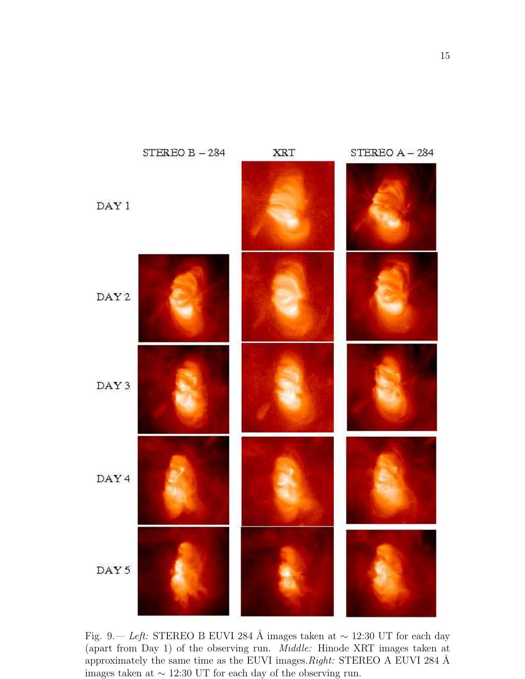

Fig. 9.— *Left:* STEREO B EUVI 284 Å images taken at ~ 12:30 UT for each day (apart from Day 1) of the observing run. *Middle:* Hinode XRT images taken at approximately the same time as the EUVI images.*Right:* STEREO A EUVI 284 Å images taken at ∼ 12:30 UT for each day of the observing run.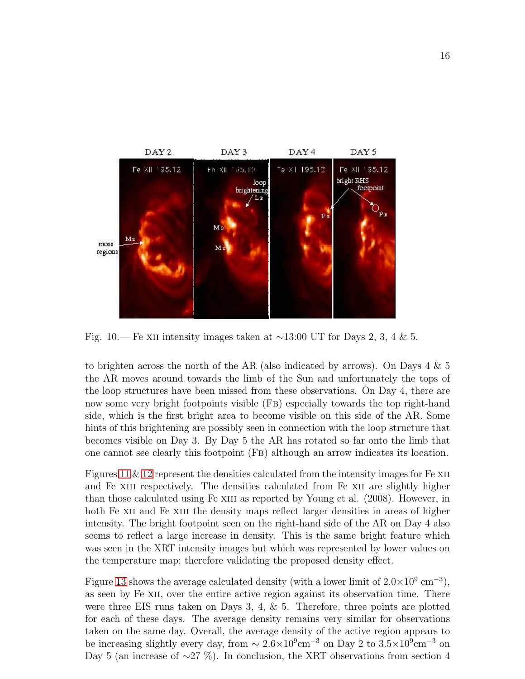

Fig. 10.— Fe xII intensity images taken at  $\sim$ 13:00 UT for Days 2, 3, 4 & 5.

to brighten across the north of the AR (also indicated by arrows). On Days 4 & 5 the AR moves around towards the limb of the Sun and unfortunately the tops of the loop structures have been missed from these observations. On Day 4, there are now some very bright footpoints visible (Fb) especially towards the top right-hand side, which is the first bright area to become visible on this side of the AR. Some hints of this brightening are possibly seen in connection with the loop structure that becomes visible on Day 3. By Day 5 the AR has rotated so far onto the limb that one cannot see clearly this footpoint (Fb) although an arrow indicates its location.

Figures [11](#page-29-0)  $\&$  [12](#page-29-0) represent the densities calculated from the intensity images for Fe XII and Fe XIII respectively. The densities calculated from Fe XII are slightly higher than those calculated using Fe XIII as reported by Young et al. (2008). However, in both Fe XII and Fe XIII the density maps reflect larger densities in areas of higher intensity. The bright footpoint seen on the right-hand side of the AR on Day 4 also seems to reflect a large increase in density. This is the same bright feature which was seen in the XRT intensity images but which was represented by lower values on the temperature map; therefore validating the proposed density effect.

Figure [13](#page-29-0) shows the average calculated density (with a lower limit of  $2.0 \times 10^9$  cm<sup>-3</sup>), as seen by Fe XII, over the entire active region against its observation time. There were three EIS runs taken on Days 3, 4, & 5. Therefore, three points are plotted for each of these days. The average density remains very similar for observations taken on the same day. Overall, the average density of the active region appears to be increasing slightly every day, from  $\sim 2.6 \times 10^9$  cm<sup>-3</sup> on Day 2 to  $3.5 \times 10^9$  cm<sup>-3</sup> on Day 5 (an increase of  $\sim$ 27 %). In conclusion, the XRT observations from section 4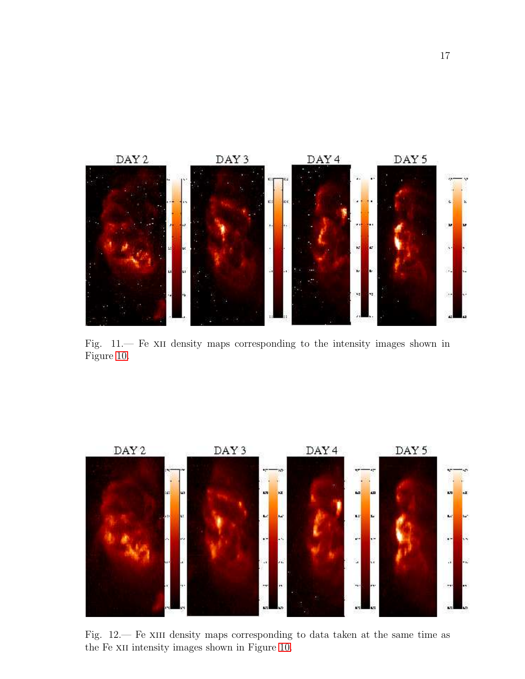

Fig. 11.— Fe XII density maps corresponding to the intensity images shown in Figure [10.](#page-29-0)



Fig. 12.— Fe XIII density maps corresponding to data taken at the same time as the Fe XII intensity images shown in Figure [10.](#page-29-0)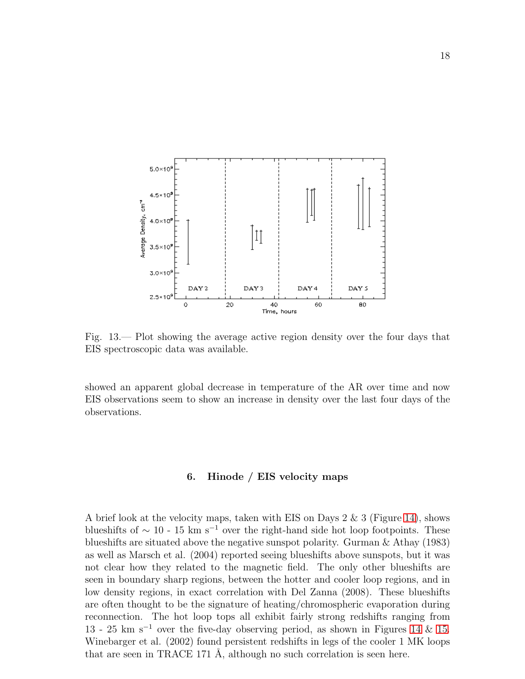

Fig. 13.— Plot showing the average active region density over the four days that EIS spectroscopic data was available.

showed an apparent global decrease in temperature of the AR over time and now EIS observations seem to show an increase in density over the last four days of the observations.

# 6. Hinode / EIS velocity maps

A brief look at the velocity maps, taken with EIS on Days 2 & 3 (Figure [14\)](#page-29-0), shows blueshifts of  $\sim 10$  - 15 km s<sup>-1</sup> over the right-hand side hot loop footpoints. These blueshifts are situated above the negative sunspot polarity. Gurman & Athay (1983) as well as Marsch et al. (2004) reported seeing blueshifts above sunspots, but it was not clear how they related to the magnetic field. The only other blueshifts are seen in boundary sharp regions, between the hotter and cooler loop regions, and in low density regions, in exact correlation with Del Zanna (2008). These blueshifts are often thought to be the signature of heating/chromospheric evaporation during reconnection. The hot loop tops all exhibit fairly strong redshifts ranging from 13 - 25 km s<sup>−</sup><sup>1</sup> over the five-day observing period, as shown in Figures [14](#page-29-0) & [15.](#page-29-0) Winebarger et al. (2002) found persistent redshifts in legs of the cooler 1 MK loops that are seen in TRACE 171 Å, although no such correlation is seen here.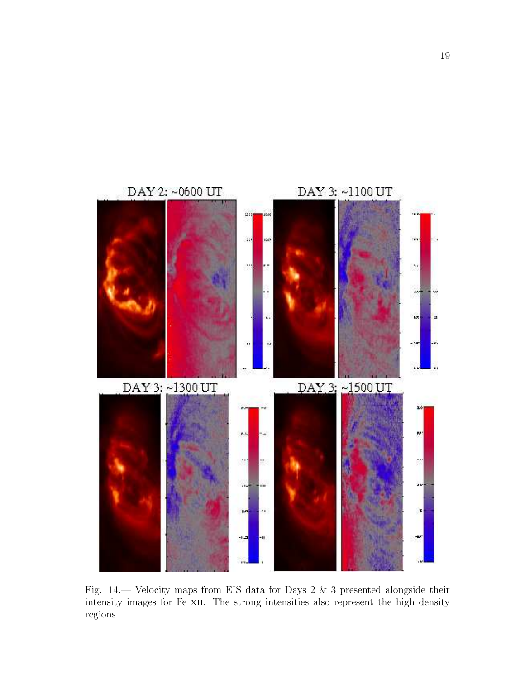

Fig. 14.— Velocity maps from EIS data for Days 2 & 3 presented alongside their intensity images for Fe XII. The strong intensities also represent the high density regions.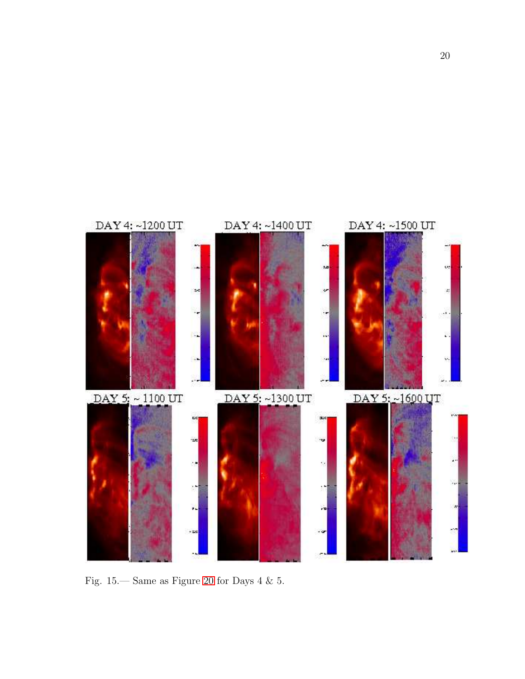

Fig. 15.— Same as Figure [20](#page-29-0) for Days 4 & 5.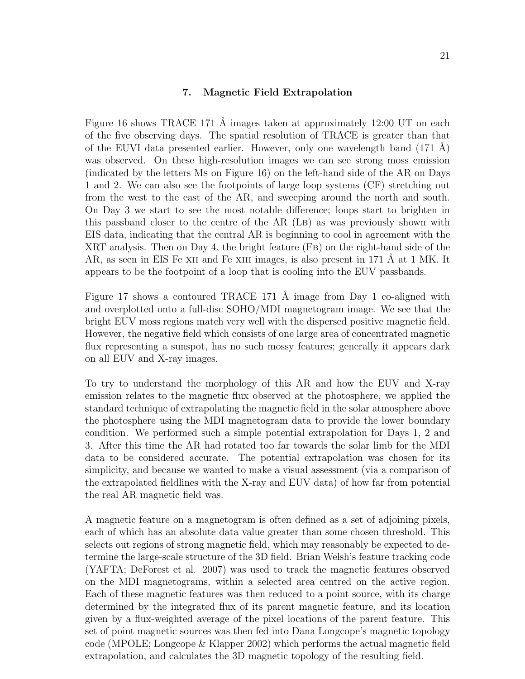### 7. Magnetic Field Extrapolation

Figure 16 shows TRACE 171 Å images taken at approximately 12:00 UT on each of the five observing days. The spatial resolution of TRACE is greater than that of the EUVI data presented earlier. However, only one wavelength band  $(171 \text{ Å})$ was observed. On these high-resolution images we can see strong moss emission (indicated by the letters Ms on Figure 16) on the left-hand side of the AR on Days 1 and 2. We can also see the footpoints of large loop systems (CF) stretching out from the west to the east of the AR, and sweeping around the north and south. On Day 3 we start to see the most notable difference; loops start to brighten in this passband closer to the centre of the AR (Lb) as was previously shown with EIS data, indicating that the central AR is beginning to cool in agreement with the XRT analysis. Then on Day 4, the bright feature (Fb) on the right-hand side of the AR, as seen in EIS Fe XII and Fe XIII images, is also present in 171  $\AA$  at 1 MK. It appears to be the footpoint of a loop that is cooling into the EUV passbands.

Figure 17 shows a contoured TRACE 171 Å image from Day 1 co-aligned with and overplotted onto a full-disc SOHO/MDI magnetogram image. We see that the bright EUV moss regions match very well with the dispersed positive magnetic field. However, the negative field which consists of one large area of concentrated magnetic flux representing a sunspot, has no such mossy features; generally it appears dark on all EUV and X-ray images.

To try to understand the morphology of this AR and how the EUV and X-ray emission relates to the magnetic flux observed at the photosphere, we applied the standard technique of extrapolating the magnetic field in the solar atmosphere above the photosphere using the MDI magnetogram data to provide the lower boundary condition. We performed such a simple potential extrapolation for Days 1, 2 and 3. After this time the AR had rotated too far towards the solar limb for the MDI data to be considered accurate. The potential extrapolation was chosen for its simplicity, and because we wanted to make a visual assessment (via a comparison of the extrapolated fieldlines with the X-ray and EUV data) of how far from potential the real AR magnetic field was.

A magnetic feature on a magnetogram is often defined as a set of adjoining pixels, each of which has an absolute data value greater than some chosen threshold. This selects out regions of strong magnetic field, which may reasonably be expected to determine the large-scale structure of the 3D field. Brian Welsh's feature tracking code (YAFTA; DeForest et al. 2007) was used to track the magnetic features observed on the MDI magnetograms, within a selected area centred on the active region. Each of these magnetic features was then reduced to a point source, with its charge determined by the integrated flux of its parent magnetic feature, and its location given by a flux-weighted average of the pixel locations of the parent feature. This set of point magnetic sources was then fed into Dana Longcope's magnetic topology code (MPOLE; Longcope & Klapper 2002) which performs the actual magnetic field extrapolation, and calculates the 3D magnetic topology of the resulting field.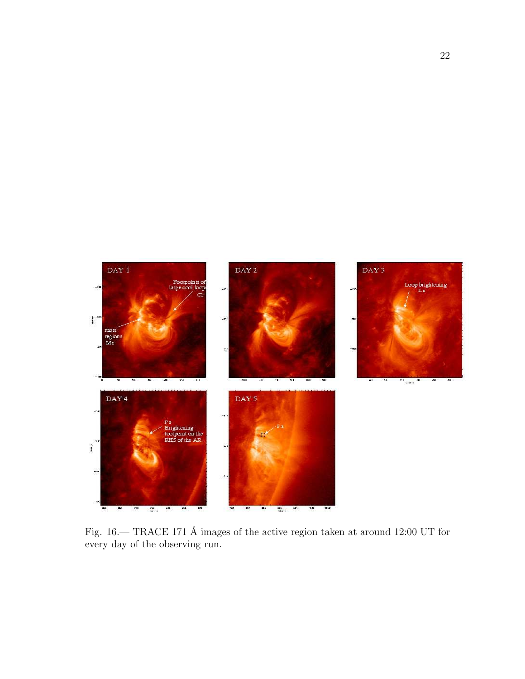

Fig. 16.— TRACE 171 Å images of the active region taken at around 12:00 UT for every day of the observing run.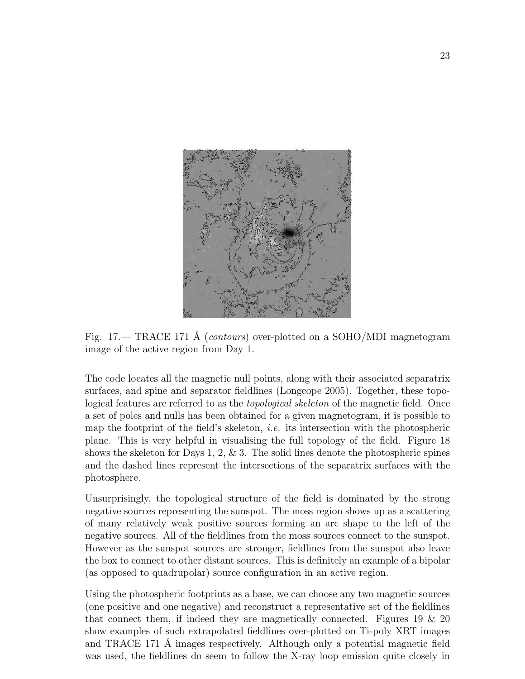

Fig. 17.— TRACE 171 Å (*contours*) over-plotted on a SOHO/MDI magnetogram image of the active region from Day 1.

The code locates all the magnetic null points, along with their associated separatrix surfaces, and spine and separator fieldlines (Longcope 2005). Together, these topological features are referred to as the *topological skeleton* of the magnetic field. Once a set of poles and nulls has been obtained for a given magnetogram, it is possible to map the footprint of the field's skeleton, *i.e.* its intersection with the photospheric plane. This is very helpful in visualising the full topology of the field. Figure 18 shows the skeleton for Days 1, 2,  $\&$  3. The solid lines denote the photospheric spines and the dashed lines represent the intersections of the separatrix surfaces with the photosphere.

Unsurprisingly, the topological structure of the field is dominated by the strong negative sources representing the sunspot. The moss region shows up as a scattering of many relatively weak positive sources forming an arc shape to the left of the negative sources. All of the fieldlines from the moss sources connect to the sunspot. However as the sunspot sources are stronger, fieldlines from the sunspot also leave the box to connect to other distant sources. This is definitely an example of a bipolar (as opposed to quadrupolar) source configuration in an active region.

Using the photospheric footprints as a base, we can choose any two magnetic sources (one positive and one negative) and reconstruct a representative set of the fieldlines that connect them, if indeed they are magnetically connected. Figures 19 & 20 show examples of such extrapolated fieldlines over-plotted on Ti-poly XRT images and TRACE 171 Å images respectively. Although only a potential magnetic field was used, the fieldlines do seem to follow the X-ray loop emission quite closely in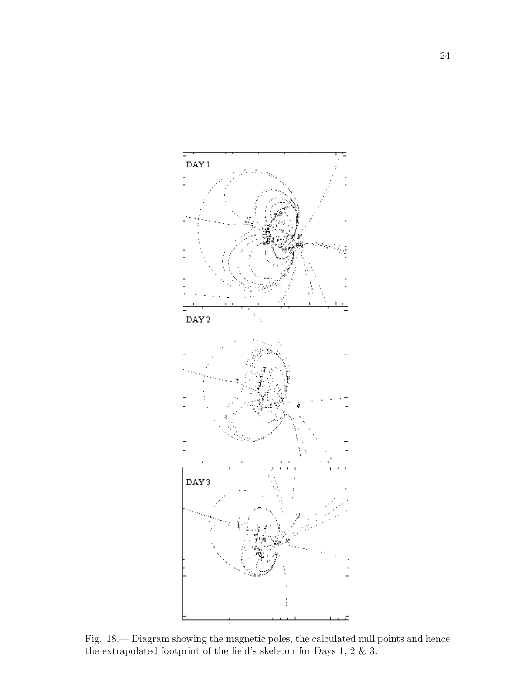

Fig. 18.— Diagram showing the magnetic poles, the calculated null points and hence the extrapolated footprint of the field's skeleton for Days 1, 2 & 3.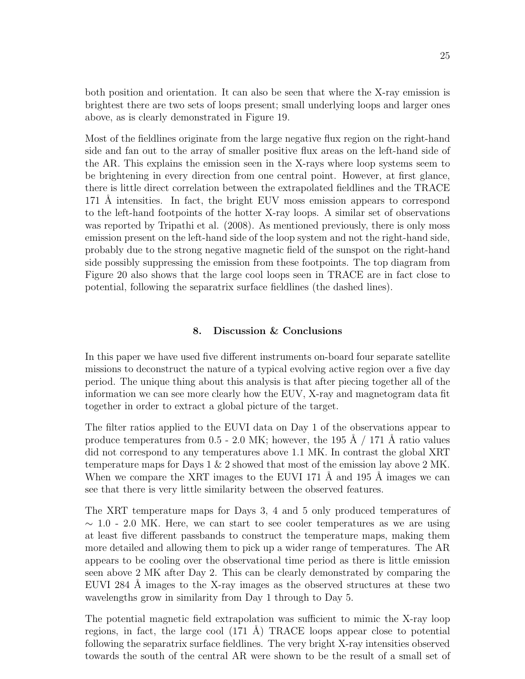both position and orientation. It can also be seen that where the X-ray emission is brightest there are two sets of loops present; small underlying loops and larger ones above, as is clearly demonstrated in Figure 19.

Most of the fieldlines originate from the large negative flux region on the right-hand side and fan out to the array of smaller positive flux areas on the left-hand side of the AR. This explains the emission seen in the X-rays where loop systems seem to be brightening in every direction from one central point. However, at first glance, there is little direct correlation between the extrapolated fieldlines and the TRACE 171 Å intensities. In fact, the bright EUV moss emission appears to correspond to the left-hand footpoints of the hotter X-ray loops. A similar set of observations was reported by Tripathi et al.  $(2008)$ . As mentioned previously, there is only moss emission present on the left-hand side of the loop system and not the right-hand side, probably due to the strong negative magnetic field of the sunspot on the right-hand side possibly suppressing the emission from these footpoints. The top diagram from Figure 20 also shows that the large cool loops seen in TRACE are in fact close to potential, following the separatrix surface fieldlines (the dashed lines).

# 8. Discussion & Conclusions

In this paper we have used five different instruments on-board four separate satellite missions to deconstruct the nature of a typical evolving active region over a five day period. The unique thing about this analysis is that after piecing together all of the information we can see more clearly how the EUV, X-ray and magnetogram data fit together in order to extract a global picture of the target.

The filter ratios applied to the EUVI data on Day 1 of the observations appear to produce temperatures from 0.5 - 2.0 MK; however, the 195  $\AA$  / 171  $\AA$  ratio values did not correspond to any temperatures above 1.1 MK. In contrast the global XRT temperature maps for Days 1 & 2 showed that most of the emission lay above 2 MK. When we compare the XRT images to the EUVI 171  $\AA$  and 195  $\AA$  images we can see that there is very little similarity between the observed features.

The XRT temperature maps for Days 3, 4 and 5 only produced temperatures of  $\sim$  1.0 - 2.0 MK. Here, we can start to see cooler temperatures as we are using at least five different passbands to construct the temperature maps, making them more detailed and allowing them to pick up a wider range of temperatures. The AR appears to be cooling over the observational time period as there is little emission seen above 2 MK after Day 2. This can be clearly demonstrated by comparing the EUVI 284 Å images to the X-ray images as the observed structures at these two wavelengths grow in similarity from Day 1 through to Day 5.

The potential magnetic field extrapolation was sufficient to mimic the X-ray loop regions, in fact, the large cool  $(171 \text{ Å})$  TRACE loops appear close to potential following the separatrix surface fieldlines. The very bright X-ray intensities observed towards the south of the central AR were shown to be the result of a small set of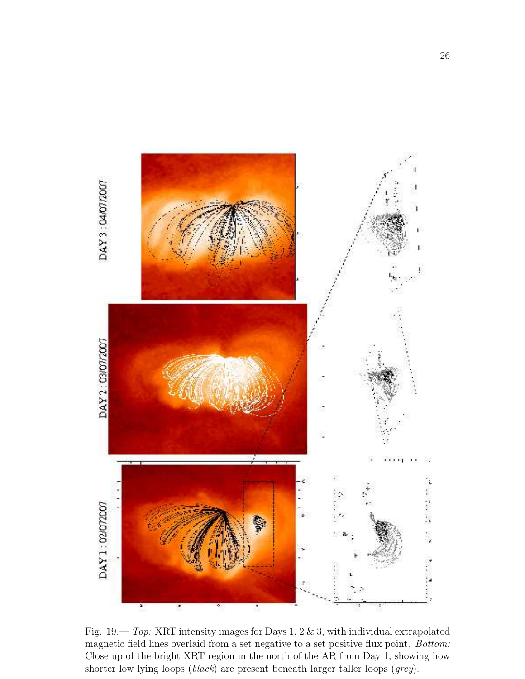

Fig. 19.— *Top:* XRT intensity images for Days 1, 2 & 3, with individual extrapolated magnetic field lines overlaid from a set negative to a set positive flux point. *Bottom:* Close up of the bright XRT region in the north of the AR from Day 1, showing how shorter low lying loops (*black*) are present beneath larger taller loops (*grey*).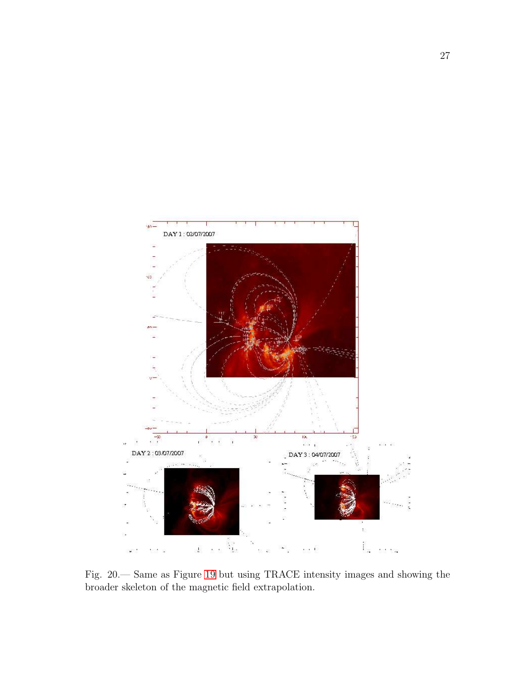

Fig. 20.— Same as Figure [19](#page-29-0) but using TRACE intensity images and showing the broader skeleton of the magnetic field extrapolation.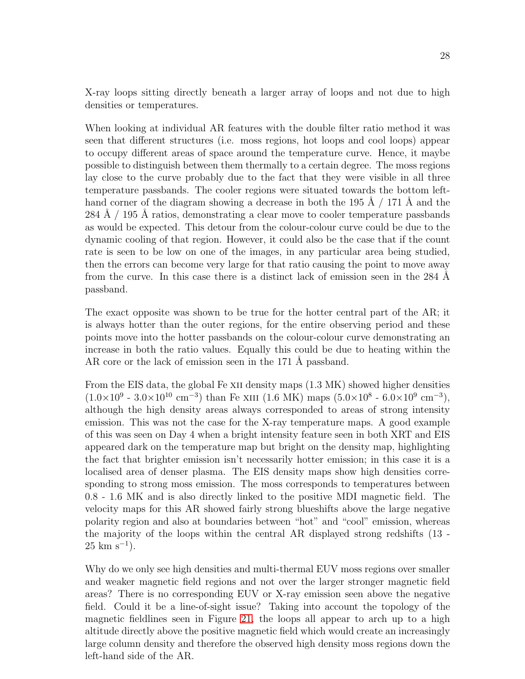X-ray loops sitting directly beneath a larger array of loops and not due to high densities or temperatures.

When looking at individual AR features with the double filter ratio method it was seen that different structures (i.e. moss regions, hot loops and cool loops) appear to occupy different areas of space around the temperature curve. Hence, it maybe possible to distinguish between them thermally to a certain degree. The moss regions lay close to the curve probably due to the fact that they were visible in all three temperature passbands. The cooler regions were situated towards the bottom lefthand corner of the diagram showing a decrease in both the 195  $\AA$  / 171  $\AA$  and the  $284 \text{ Å}$  / 195 Å ratios, demonstrating a clear move to cooler temperature passbands as would be expected. This detour from the colour-colour curve could be due to the dynamic cooling of that region. However, it could also be the case that if the count rate is seen to be low on one of the images, in any particular area being studied, then the errors can become very large for that ratio causing the point to move away from the curve. In this case there is a distinct lack of emission seen in the 284 A passband.

The exact opposite was shown to be true for the hotter central part of the AR; it is always hotter than the outer regions, for the entire observing period and these points move into the hotter passbands on the colour-colour curve demonstrating an increase in both the ratio values. Equally this could be due to heating within the AR core or the lack of emission seen in the 171 Å passband.

From the EIS data, the global Fe XII density maps  $(1.3 \text{ MK})$  showed higher densities  $(1.0 \times 10^9 \text{ - } 3.0 \times 10^{10} \text{ cm}^{-3})$  than Fe XIII  $(1.6 \text{ MK})$  maps  $(5.0 \times 10^8 \text{ - } 6.0 \times 10^9 \text{ cm}^{-3})$ , although the high density areas always corresponded to areas of strong intensity emission. This was not the case for the X-ray temperature maps. A good example of this was seen on Day 4 when a bright intensity feature seen in both XRT and EIS appeared dark on the temperature map but bright on the density map, highlighting the fact that brighter emission isn't necessarily hotter emission; in this case it is a localised area of denser plasma. The EIS density maps show high densities corresponding to strong moss emission. The moss corresponds to temperatures between 0.8 - 1.6 MK and is also directly linked to the positive MDI magnetic field. The velocity maps for this AR showed fairly strong blueshifts above the large negative polarity region and also at boundaries between "hot" and "cool" emission, whereas the majority of the loops within the central AR displayed strong redshifts (13 -  $25 \text{ km s}^{-1}$ ).

Why do we only see high densities and multi-thermal EUV moss regions over smaller and weaker magnetic field regions and not over the larger stronger magnetic field areas? There is no corresponding EUV or X-ray emission seen above the negative field. Could it be a line-of-sight issue? Taking into account the topology of the magnetic fieldlines seen in Figure [21,](#page-29-0) the loops all appear to arch up to a high altitude directly above the positive magnetic field which would create an increasingly large column density and therefore the observed high density moss regions down the left-hand side of the AR.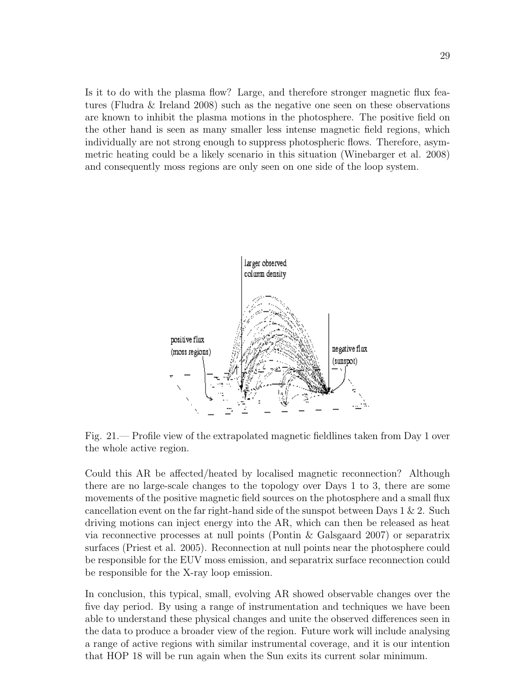Is it to do with the plasma flow? Large, and therefore stronger magnetic flux features (Fludra & Ireland 2008) such as the negative one seen on these observations are known to inhibit the plasma motions in the photosphere. The positive field on the other hand is seen as many smaller less intense magnetic field regions, which individually are not strong enough to suppress photospheric flows. Therefore, asymmetric heating could be a likely scenario in this situation (Winebarger et al. 2008) and consequently moss regions are only seen on one side of the loop system.



<span id="page-29-0"></span>Fig. 21.— Profile view of the extrapolated magnetic fieldlines taken from Day 1 over the whole active region.

Could this AR be affected/heated by localised magnetic reconnection? Although there are no large-scale changes to the topology over Days 1 to 3, there are some movements of the positive magnetic field sources on the photosphere and a small flux cancellation event on the far right-hand side of the sunspot between Days  $1 \& 2$ . Such driving motions can inject energy into the AR, which can then be released as heat via reconnective processes at null points (Pontin & Galsgaard 2007) or separatrix surfaces (Priest et al. 2005). Reconnection at null points near the photosphere could be responsible for the EUV moss emission, and separatrix surface reconnection could be responsible for the X-ray loop emission.

In conclusion, this typical, small, evolving AR showed observable changes over the five day period. By using a range of instrumentation and techniques we have been able to understand these physical changes and unite the observed differences seen in the data to produce a broader view of the region. Future work will include analysing a range of active regions with similar instrumental coverage, and it is our intention that HOP 18 will be run again when the Sun exits its current solar minimum.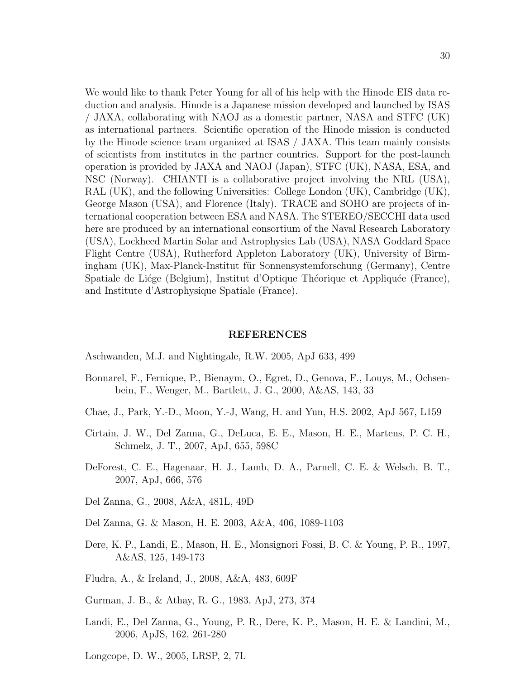We would like to thank Peter Young for all of his help with the Hinode EIS data reduction and analysis. Hinode is a Japanese mission developed and launched by ISAS / JAXA, collaborating with NAOJ as a domestic partner, NASA and STFC (UK) as international partners. Scientific operation of the Hinode mission is conducted by the Hinode science team organized at ISAS / JAXA. This team mainly consists of scientists from institutes in the partner countries. Support for the post-launch operation is provided by JAXA and NAOJ (Japan), STFC (UK), NASA, ESA, and NSC (Norway). CHIANTI is a collaborative project involving the NRL (USA), RAL (UK), and the following Universities: College London (UK), Cambridge (UK), George Mason (USA), and Florence (Italy). TRACE and SOHO are projects of international cooperation between ESA and NASA. The STEREO/SECCHI data used here are produced by an international consortium of the Naval Research Laboratory (USA), Lockheed Martin Solar and Astrophysics Lab (USA), NASA Goddard Space Flight Centre (USA), Rutherford Appleton Laboratory (UK), University of Birmingham (UK), Max-Planck-Institut für Sonnensystemforschung (Germany), Centre

Spatiale de Liége (Belgium), Institut d'Optique Théorique et Appliquée (France), and Institute d'Astrophysique Spatiale (France).

#### REFERENCES

- Aschwanden, M.J. and Nightingale, R.W. 2005, ApJ 633, 499
- Bonnarel, F., Fernique, P., Bienaym, O., Egret, D., Genova, F., Louys, M., Ochsenbein, F., Wenger, M., Bartlett, J. G., 2000, A&AS, 143, 33
- Chae, J., Park, Y.-D., Moon, Y.-J, Wang, H. and Yun, H.S. 2002, ApJ 567, L159
- Cirtain, J. W., Del Zanna, G., DeLuca, E. E., Mason, H. E., Martens, P. C. H., Schmelz, J. T., 2007, ApJ, 655, 598C
- DeForest, C. E., Hagenaar, H. J., Lamb, D. A., Parnell, C. E. & Welsch, B. T., 2007, ApJ, 666, 576
- Del Zanna, G., 2008, A&A, 481L, 49D
- Del Zanna, G. & Mason, H. E. 2003, A&A, 406, 1089-1103
- Dere, K. P., Landi, E., Mason, H. E., Monsignori Fossi, B. C. & Young, P. R., 1997, A&AS, 125, 149-173
- Fludra, A., & Ireland, J., 2008, A&A, 483, 609F
- Gurman, J. B., & Athay, R. G., 1983, ApJ, 273, 374
- Landi, E., Del Zanna, G., Young, P. R., Dere, K. P., Mason, H. E. & Landini, M., 2006, ApJS, 162, 261-280
- Longcope, D. W., 2005, LRSP, 2, 7L